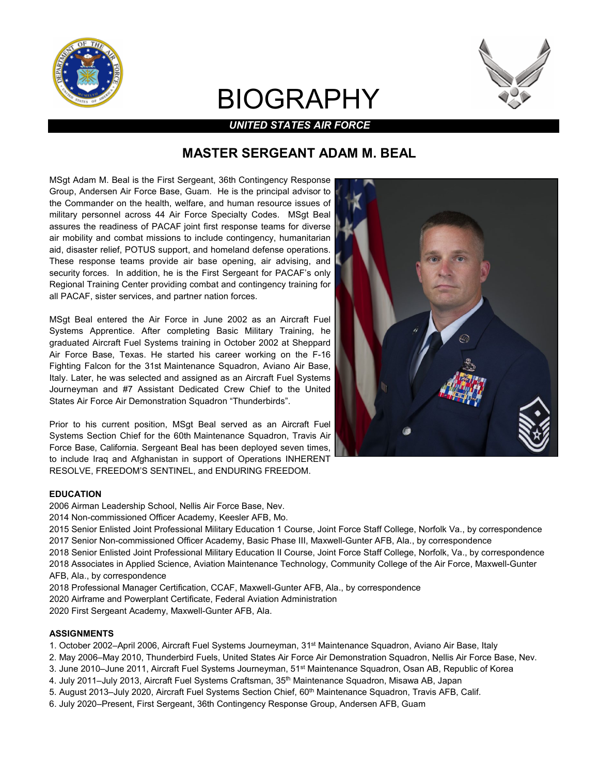

# BIOGRAPHY



## *UNITED STATES AIR FORCE*

## **MASTER SERGEANT ADAM M. BEAL**

MSgt Adam M. Beal is the First Sergeant, 36th Contingency Response Group, Andersen Air Force Base, Guam. He is the principal advisor to the Commander on the health, welfare, and human resource issues of military personnel across 44 Air Force Specialty Codes. MSgt Beal assures the readiness of PACAF joint first response teams for diverse air mobility and combat missions to include contingency, humanitarian aid, disaster relief, POTUS support, and homeland defense operations. These response teams provide air base opening, air advising, and security forces. In addition, he is the First Sergeant for PACAF's only Regional Training Center providing combat and contingency training for all PACAF, sister services, and partner nation forces.

MSgt Beal entered the Air Force in June 2002 as an Aircraft Fuel Systems Apprentice. After completing Basic Military Training, he graduated Aircraft Fuel Systems training in October 2002 at Sheppard Air Force Base, Texas. He started his career working on the F-16 Fighting Falcon for the 31st Maintenance Squadron, Aviano Air Base, Italy. Later, he was selected and assigned as an Aircraft Fuel Systems Journeyman and #7 Assistant Dedicated Crew Chief to the United States Air Force Air Demonstration Squadron "Thunderbirds".

Prior to his current position, MSgt Beal served as an Aircraft Fuel Systems Section Chief for the 60th Maintenance Squadron, Travis Air Force Base, California. Sergeant Beal has been deployed seven times, to include Iraq and Afghanistan in support of Operations INHERENT RESOLVE, FREEDOM'S SENTINEL, and ENDURING FREEDOM.

#### **EDUCATION**

2006 Airman Leadership School, Nellis Air Force Base, Nev.

2014 Non-commissioned Officer Academy, Keesler AFB, Mo.

2015 Senior Enlisted Joint Professional Military Education 1 Course, Joint Force Staff College, Norfolk Va., by correspondence 2017 Senior Non-commissioned Officer Academy, Basic Phase III, Maxwell-Gunter AFB, Ala., by correspondence

- 2018 Senior Enlisted Joint Professional Military Education II Course, Joint Force Staff College, Norfolk, Va., by correspondence 2018 Associates in Applied Science, Aviation Maintenance Technology, Community College of the Air Force, Maxwell-Gunter
- AFB, Ala., by correspondence
- 2018 Professional Manager Certification, CCAF, Maxwell-Gunter AFB, Ala., by correspondence
- 2020 Airframe and Powerplant Certificate, Federal Aviation Administration

2020 First Sergeant Academy, Maxwell-Gunter AFB, Ala.

#### **ASSIGNMENTS**

- 1. October 2002–April 2006, Aircraft Fuel Systems Journeyman, 31st Maintenance Squadron, Aviano Air Base, Italy
- 2. May 2006–May 2010, Thunderbird Fuels, United States Air Force Air Demonstration Squadron, Nellis Air Force Base, Nev.
- 3. June 2010–June 2011, Aircraft Fuel Systems Journeyman, 51st Maintenance Squadron, Osan AB, Republic of Korea
- 4. July 2011–July 2013, Aircraft Fuel Systems Craftsman, 35<sup>th</sup> Maintenance Squadron, Misawa AB, Japan
- 5. August 2013–July 2020, Aircraft Fuel Systems Section Chief, 60<sup>th</sup> Maintenance Squadron, Travis AFB, Calif.
- 6. July 2020–Present, First Sergeant, 36th Contingency Response Group, Andersen AFB, Guam